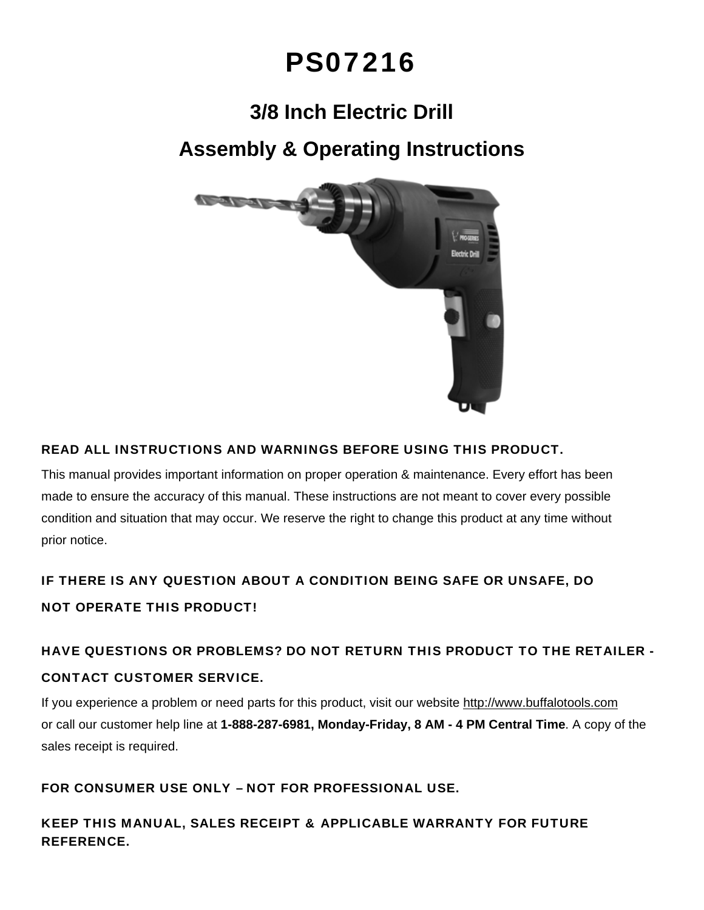# PS07216

# **3/8 Inch Electric Drill**

## **Assembly & Operating Instructions**



### READ ALL INSTRUCTIONS AND WARNINGS BEFORE USING THIS PRODUCT.

This manual provides important information on proper operation & maintenance. Every effort has been made to ensure the accuracy of this manual. These instructions are not meant to cover every possible condition and situation that may occur. We reserve the right to change this product at any time without prior notice.

### IF THERE IS ANY QUESTION ABOUT A CONDITION BEING SAFE OR UNSAFE, DO NOT OPERATE THIS PRODUCT!

## HAVE QUESTIONS OR PROBLEMS? DO NOT RETURN THIS PRODUCT TO THE RETAILER - CONTACT CUSTOMER SERVICE.

If you experience a problem or need parts for this product, visit our website http://www.buffalotools.com or call our customer help line at **1-888-287-6981, Monday-Friday, 8 AM - 4 PM Central Time**. A copy of the sales receipt is required.

### FOR CONSUMER USE ONLY – NOT FOR PROFESSIONAL USE.

KEEP THIS MANUAL, SALES RECEIPT & APPLICABLE WARRANTY FOR FUTURE REFERENCE.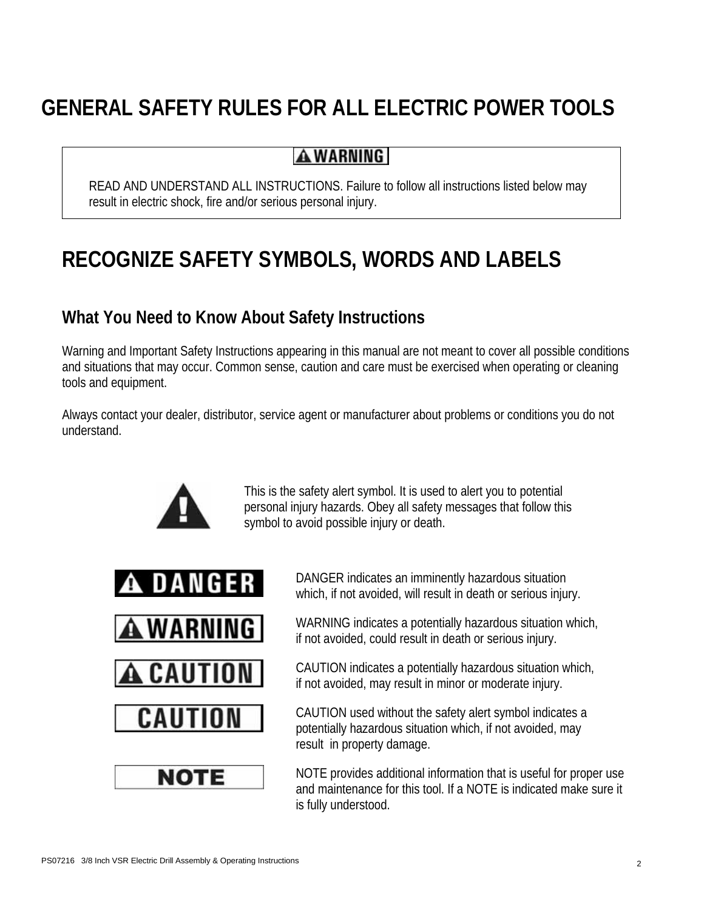# **GENERAL SAFETY RULES FOR ALL ELECTRIC POWER TOOLS**

### **AWARNING**

READ AND UNDERSTAND ALL INSTRUCTIONS. Failure to follow all instructions listed below may result in electric shock, fire and/or serious personal injury.

# **RECOGNIZE SAFETY SYMBOLS, WORDS AND LABELS**

### **What You Need to Know About Safety Instructions**

Warning and Important Safety Instructions appearing in this manual are not meant to cover all possible conditions and situations that may occur. Common sense, caution and care must be exercised when operating or cleaning tools and equipment.

Always contact your dealer, distributor, service agent or manufacturer about problems or conditions you do not understand.



This is the safety alert symbol. It is used to alert you to potential personal injury hazards. Obey all safety messages that follow this symbol to avoid possible injury or death.









DANGER indicates an imminently hazardous situation which, if not avoided, will result in death or serious injury.

WARNING indicates a potentially hazardous situation which, if not avoided, could result in death or serious injury.

CAUTION indicates a potentially hazardous situation which, if not avoided, may result in minor or moderate injury.

CAUTION used without the safety alert symbol indicates a potentially hazardous situation which, if not avoided, may result in property damage.

NOTE provides additional information that is useful for proper use and maintenance for this tool. If a NOTE is indicated make sure it is fully understood.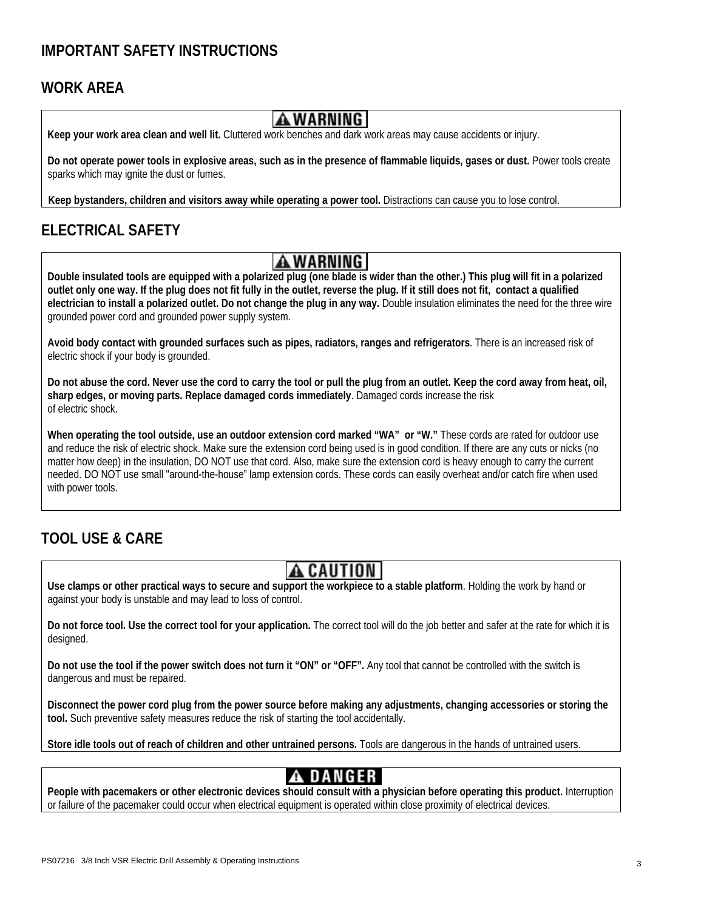### **IMPORTANT SAFETY INSTRUCTIONS**

### **WORK AREA**



**Keep your work area clean and well lit.** Cluttered work benches and dark work areas may cause accidents or injury.

**Do not operate power tools in explosive areas, such as in the presence of flammable liquids, gases or dust.** Power tools create sparks which may ignite the dust or fumes.

**Keep bystanders, children and visitors away while operating a power tool.** Distractions can cause you to lose control.

### **ELECTRICAL SAFETY**

**Double insulated tools are equipped with a polarized plug (one blade is wider than the other.) This plug will fit in a polarized <br>Double insulated tools are equipped with a polarized plug (one blade is wider than the othe outlet only one way. If the plug does not fit fully in the outlet, reverse the plug. If it still does not fit, contact a qualified electrician to install a polarized outlet. Do not change the plug in any way.** Double insulation eliminates the need for the three wire grounded power cord and grounded power supply system.

**Avoid body contact with grounded surfaces such as pipes, radiators, ranges and refrigerators**. There is an increased risk of electric shock if your body is grounded.

**Do not abuse the cord. Never use the cord to carry the tool or pull the plug from an outlet. Keep the cord away from heat, oil, sharp edges, or moving parts. Replace damaged cords immediately**. Damaged cords increase the risk of electric shock.

**When operating the tool outside, use an outdoor extension cord marked "WA" or "W."** These cords are rated for outdoor use and reduce the risk of electric shock. Make sure the extension cord being used is in good condition. If there are any cuts or nicks (no matter how deep) in the insulation, DO NOT use that cord. Also, make sure the extension cord is heavy enough to carry the current needed. DO NOT use small "around-the-house" lamp extension cords. These cords can easily overheat and/or catch fire when used with power tools.

### **TOOL USE & CARE**

**USE CAUTION**<br>Use clamps or other practical ways to secure and support the workpiece to a stable platform. Holding the work by hand or against your body is unstable and may lead to loss of control.

**Do not force tool. Use the correct tool for your application.** The correct tool will do the job better and safer at the rate for which it is designed.

**Do not use the tool if the power switch does not turn it "ON" or "OFF".** Any tool that cannot be controlled with the switch is dangerous and must be repaired.

**Disconnect the power cord plug from the power source before making any adjustments, changing accessories or storing the tool.** Such preventive safety measures reduce the risk of starting the tool accidentally.

**Store idle tools out of reach of children and other untrained persons.** Tools are dangerous in the hands of untrained users.

**People with pacemakers or other electronic devices should consult with a physician before operating this product.** Interruption or failure of the pacemaker could occur when electrical equipment is operated within close proximity of electrical devices.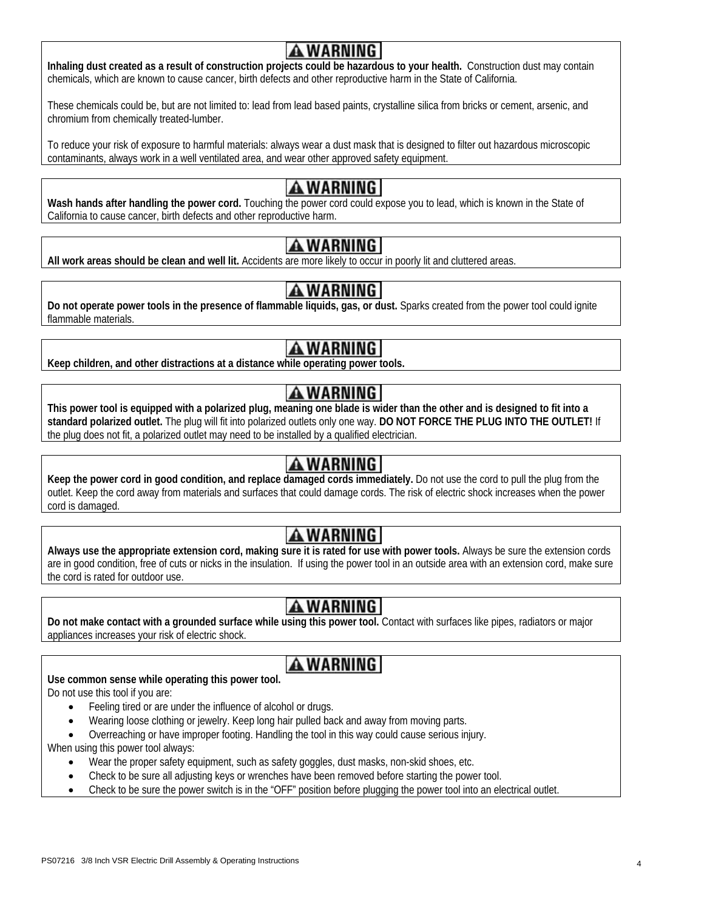**Inhaling dust created as a result of construction projects could be hazardous to your health.** Construction dust may contain chemicals, which are known to cause cancer, birth defects and other reproductive harm in the State of California.

These chemicals could be, but are not limited to: lead from lead based paints, crystalline silica from bricks or cement, arsenic, and chromium from chemically treated-lumber.

To reduce your risk of exposure to harmful materials: always wear a dust mask that is designed to filter out hazardous microscopic contaminants, always work in a well ventilated area, and wear other approved safety equipment.

WARNING |<br>Wash hands after handling the power cord. Touching the power cord could expose you to lead, which is known in the State of California to cause cancer, birth defects and other reproductive harm.

**All work areas should be clean and well lit.** Accidents are more likely to occur in poorly lit and cluttered areas.

**Do not operate power tools in the presence of flammable liquids, gas, or dust.** Sparks created from the power tool could ignite flammable materials.

**Keep children, and other distractions at a distance while operating power tools.** 

 **This power tool is equipped with a polarized plug, meaning one blade is wider than the other and is designed to fit into a standard polarized outlet.** The plug will fit into polarized outlets only one way. **DO NOT FORCE THE PLUG INTO THE OUTLET!** If the plug does not fit, a polarized outlet may need to be installed by a qualified electrician.

**Keep the power cord in good condition, and replace damaged cords immediately.** Do not use the cord to pull the plug from the **Keep the plug from the** outlet. Keep the cord away from materials and surfaces that could damage cords. The risk of electric shock increases when the power cord is damaged.

**AWARNING**<br>Always use the appropriate extension cord, making sure it is rated for use with power tools. Always be sure the extension cords are in good condition, free of cuts or nicks in the insulation. If using the power tool in an outside area with an extension cord, make sure the cord is rated for outdoor use.

**Do not make contact with a grounded surface while using this power tool.** Contact with surfaces like pipes, radiators or major appliances increases your risk of electric shock.

## **A WARNING**

**Use common sense while operating this power tool.** 

Do not use this tool if you are:

- Feeling tired or are under the influence of alcohol or drugs.
- Wearing loose clothing or jewelry. Keep long hair pulled back and away from moving parts.
- Overreaching or have improper footing. Handling the tool in this way could cause serious injury.

When using this power tool always:

- Wear the proper safety equipment, such as safety goggles, dust masks, non-skid shoes, etc.
- Check to be sure all adjusting keys or wrenches have been removed before starting the power tool.
- Check to be sure the power switch is in the "OFF" position before plugging the power tool into an electrical outlet.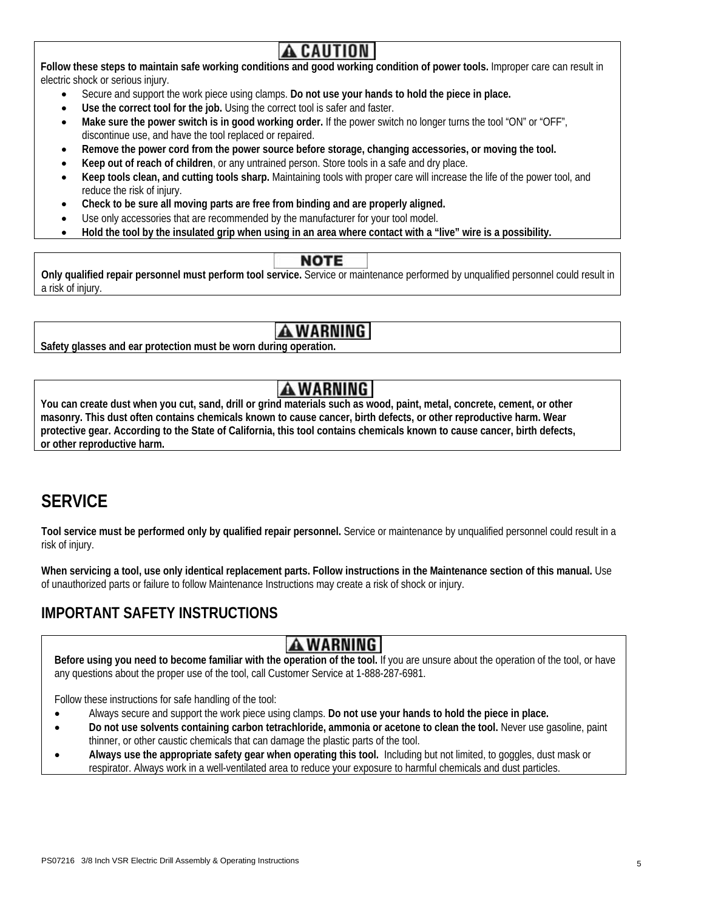**Follow these steps to maintain safe working conditions and good working condition of power tools.** Improper care can result in electric shock or serious injury.

- Secure and support the work piece using clamps. **Do not use your hands to hold the piece in place.**
- Use the correct tool for the job. Using the correct tool is safer and faster.

**Safety glasses and ear protection must be worn during operation.**

- **Make sure the power switch is in good working order.** If the power switch no longer turns the tool "ON" or "OFF", discontinue use, and have the tool replaced or repaired.
- **Remove the power cord from the power source before storage, changing accessories, or moving the tool.**
- **Keep out of reach of children**, or any untrained person. Store tools in a safe and dry place.
- **Keep tools clean, and cutting tools sharp.** Maintaining tools with proper care will increase the life of the power tool, and reduce the risk of injury.
- **Check to be sure all moving parts are free from binding and are properly aligned.**
- Use only accessories that are recommended by the manufacturer for your tool model.
- **Hold the tool by the insulated grip when using in an area where contact with a "live" wire is a possibility.**

 **Only qualified repair personnel must perform tool service.** Service or maintenance performed by unqualified personnel could result in a risk of injury.

 **You can create dust when you cut, sand, drill or grind materials such as wood, paint, metal, concrete, cement, or other masonry. This dust often contains chemicals known to cause cancer, birth defects, or other reproductive harm. Wear protective gear. According to the State of California, this tool contains chemicals known to cause cancer, birth defects, or other reproductive harm.**

### **SERVICE**

**Tool service must be performed only by qualified repair personnel.** Service or maintenance by unqualified personnel could result in a risk of injury.

When servicing a tool, use only identical replacement parts. Follow instructions in the Maintenance section of this manual. Use of unauthorized parts or failure to follow Maintenance Instructions may create a risk of shock or injury.

### **IMPORTANT SAFETY INSTRUCTIONS**

**Before using you need to become familiar with the operation of the tool.** If you are unsure about the operation of the tool, or have any questions about the proper use of the tool, call Customer Service at 1-888-287-6981.

Follow these instructions for safe handling of the tool:

- Always secure and support the work piece using clamps. **Do not use your hands to hold the piece in place.**
- **Do not use solvents containing carbon tetrachloride, ammonia or acetone to clean the tool.** Never use gasoline, paint thinner, or other caustic chemicals that can damage the plastic parts of the tool.
- **Always use the appropriate safety gear when operating this tool.** Including but not limited, to goggles, dust mask or respirator. Always work in a well-ventilated area to reduce your exposure to harmful chemicals and dust particles.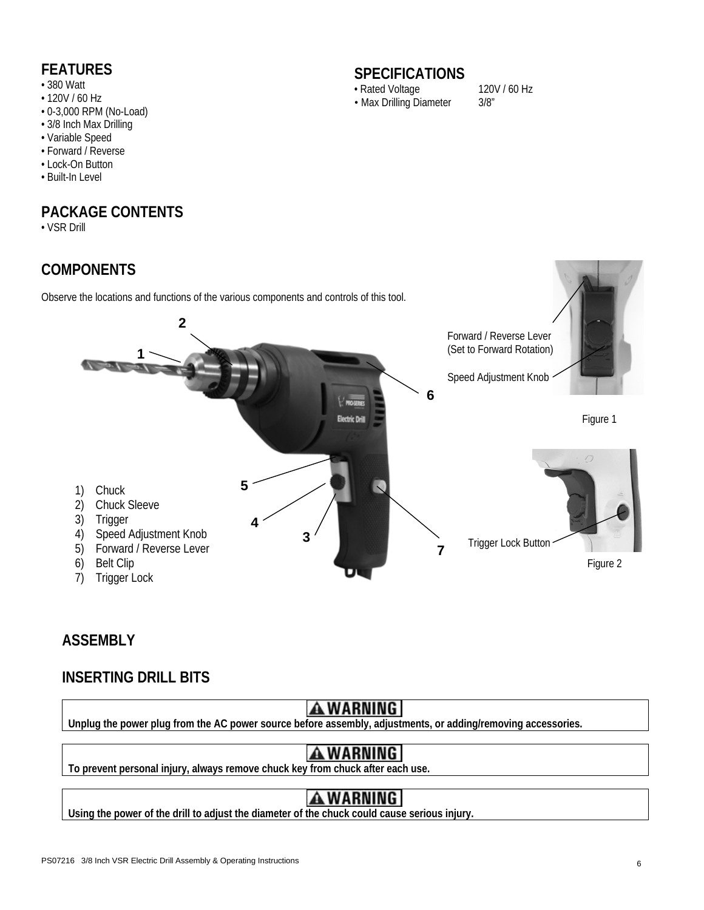- 380 Watt
- 120V / 60 Hz
- 0-3,000 RPM (No-Load)
- 3/8 Inch Max Drilling
- Variable Speed
- Forward / Reverse
- Lock-On Button
- Built-In Level

### **PACKAGE CONTENTS**

• VSR Drill

### **COMPONENTS**

Observe the locations and functions of the various components and controls of this tool.

### **FEATURES** SPECIFICATIONS

• Rated Voltage 120V / 60 Hz • Max Drilling Diameter 3/8"



### **ASSEMBLY**

### **INSERTING DRILL BITS**



**Unplug the power plug from the AC power source before assembly, adjustments, or adding/removing accessories.**

**To prevent personal injury, always remove chuck key from chuck after each use.** 

Using the power of the drill to adjust the diameter of the chuck could cause serious injury.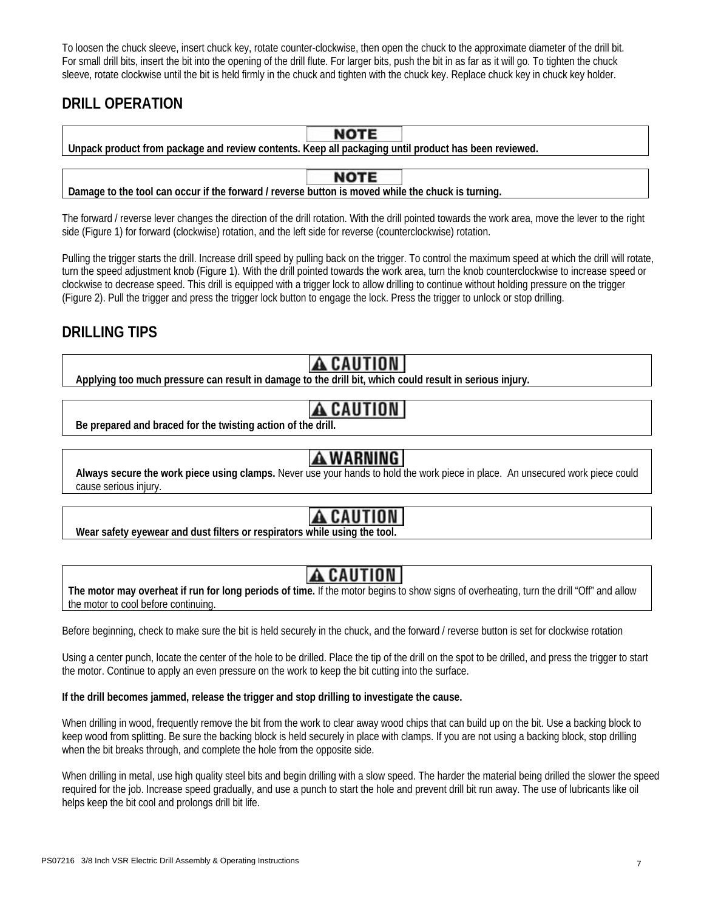To loosen the chuck sleeve, insert chuck key, rotate counter-clockwise, then open the chuck to the approximate diameter of the drill bit. For small drill bits, insert the bit into the opening of the drill flute. For larger bits, push the bit in as far as it will go. To tighten the chuck sleeve, rotate clockwise until the bit is held firmly in the chuck and tighten with the chuck key. Replace chuck key in chuck key holder.

### **DRILL OPERATION**

| <b>NOTE</b>                                                                                          |  |  |  |  |  |  |  |  |  |
|------------------------------------------------------------------------------------------------------|--|--|--|--|--|--|--|--|--|
| Unpack product from package and review contents. Keep all packaging until product has been reviewed. |  |  |  |  |  |  |  |  |  |
|                                                                                                      |  |  |  |  |  |  |  |  |  |
| <b>NOTE</b>                                                                                          |  |  |  |  |  |  |  |  |  |
| Damage to the tool can occur if the forward / reverse button is moved while the chuck is turning.    |  |  |  |  |  |  |  |  |  |

The forward / reverse lever changes the direction of the drill rotation. With the drill pointed towards the work area, move the lever to the right side (Figure 1) for forward (clockwise) rotation, and the left side for reverse (counterclockwise) rotation.

Pulling the trigger starts the drill. Increase drill speed by pulling back on the trigger. To control the maximum speed at which the drill will rotate, turn the speed adjustment knob (Figure 1). With the drill pointed towards the work area, turn the knob counterclockwise to increase speed or clockwise to decrease speed. This drill is equipped with a trigger lock to allow drilling to continue without holding pressure on the trigger (Figure 2). Pull the trigger and press the trigger lock button to engage the lock. Press the trigger to unlock or stop drilling.

### **DRILLING TIPS**

**A CAUTION**<br>Applying too much pressure can result in damage to the drill bit, which could result in serious injury.

## TION

**Be prepared and braced for the twisting action of the drill.**

**AWARNING**<br>Always secure the work piece using clamps. Never use your hands to hold the work piece in place. An unsecured work piece could cause serious injury.

**Wear safety eyewear and dust filters or respirators while using the tool.**

**The motor may overheat if run for long periods of time.** If the motor begins to show signs of overheating, turn the drill "Off" and allow the motor to cool before continuing.

Before beginning, check to make sure the bit is held securely in the chuck, and the forward / reverse button is set for clockwise rotation

Using a center punch, locate the center of the hole to be drilled. Place the tip of the drill on the spot to be drilled, and press the trigger to start the motor. Continue to apply an even pressure on the work to keep the bit cutting into the surface.

### **If the drill becomes jammed, release the trigger and stop drilling to investigate the cause.**

When drilling in wood, frequently remove the bit from the work to clear away wood chips that can build up on the bit. Use a backing block to keep wood from splitting. Be sure the backing block is held securely in place with clamps. If you are not using a backing block, stop drilling when the bit breaks through, and complete the hole from the opposite side.

When drilling in metal, use high quality steel bits and begin drilling with a slow speed. The harder the material being drilled the slower the speed required for the job. Increase speed gradually, and use a punch to start the hole and prevent drill bit run away. The use of lubricants like oil helps keep the bit cool and prolongs drill bit life.